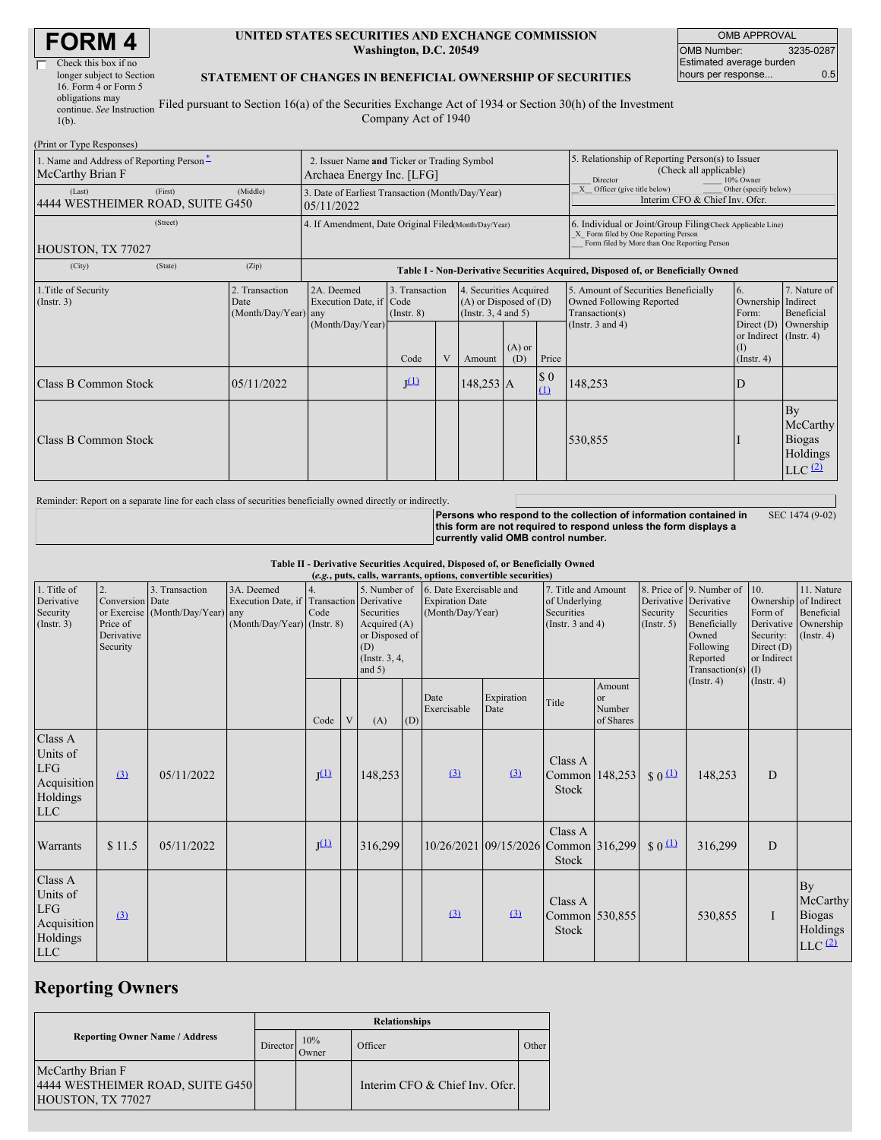| <b>FORM4</b> |  |
|--------------|--|
|--------------|--|

| Check this box if no      |   |
|---------------------------|---|
| longer subject to Section |   |
| 16. Form 4 or Form 5      |   |
| obligations may           |   |
| continue. See Instruction | F |

#### **UNITED STATES SECURITIES AND EXCHANGE COMMISSION Washington, D.C. 20549**

OMB APPROVAL OMB Number: 3235-0287 Estimated average burden hours per response... 6.5

#### **STATEMENT OF CHANGES IN BENEFICIAL OWNERSHIP OF SECURITIES**

continue. *See* Instruction 1(b). Filed pursuant to Section 16(a) of the Securities Exchange Act of 1934 or Section 30(h) of the Investment Company Act of 1940

| (Print or Type Responses)                                    |                                                                          |                                                      |                                                                |                                   |   |                                                                                                     |                                                                                                                                                    |                                                                                       |                                                                                    |                                                                   |                                                                   |
|--------------------------------------------------------------|--------------------------------------------------------------------------|------------------------------------------------------|----------------------------------------------------------------|-----------------------------------|---|-----------------------------------------------------------------------------------------------------|----------------------------------------------------------------------------------------------------------------------------------------------------|---------------------------------------------------------------------------------------|------------------------------------------------------------------------------------|-------------------------------------------------------------------|-------------------------------------------------------------------|
| 1. Name and Address of Reporting Person-<br>McCarthy Brian F | 2. Issuer Name and Ticker or Trading Symbol<br>Archaea Energy Inc. [LFG] |                                                      |                                                                |                                   |   | 5. Relationship of Reporting Person(s) to Issuer<br>(Check all applicable)<br>Director<br>10% Owner |                                                                                                                                                    |                                                                                       |                                                                                    |                                                                   |                                                                   |
| (Last)<br>4444 WESTHEIMER ROAD, SUITE G450                   | (First)                                                                  | (Middle)                                             | 3. Date of Earliest Transaction (Month/Day/Year)<br>05/11/2022 |                                   |   |                                                                                                     |                                                                                                                                                    | Officer (give title below)<br>Other (specify below)<br>Interim CFO & Chief Inv. Ofcr. |                                                                                    |                                                                   |                                                                   |
| HOUSTON, TX 77027                                            |                                                                          | 4. If Amendment, Date Original Filed(Month/Day/Year) |                                                                |                                   |   |                                                                                                     | 6. Individual or Joint/Group Filing(Check Applicable Line)<br>X Form filed by One Reporting Person<br>Form filed by More than One Reporting Person |                                                                                       |                                                                                    |                                                                   |                                                                   |
| (City)                                                       | (State)                                                                  | (Zip)                                                |                                                                |                                   |   |                                                                                                     |                                                                                                                                                    |                                                                                       | Table I - Non-Derivative Securities Acquired, Disposed of, or Beneficially Owned   |                                                                   |                                                                   |
| 1. Title of Security<br>$($ Instr. 3 $)$                     |                                                                          | 2. Transaction<br>Date<br>(Month/Day/Year) any       | 2A. Deemed<br>Execution Date, if Code                          | 3. Transaction<br>$($ Instr. $8)$ |   | 4. Securities Acquired<br>$(A)$ or Disposed of $(D)$<br>(Insert. 3, 4 and 5)                        |                                                                                                                                                    |                                                                                       | 5. Amount of Securities Beneficially<br>Owned Following Reported<br>Transaction(s) | <sup>6.</sup><br>Ownership Indirect<br>Form:                      | 7. Nature of<br>Beneficial                                        |
|                                                              |                                                                          |                                                      | (Month/Day/Year)                                               | Code                              | V | Amount                                                                                              | $(A)$ or<br>(D)                                                                                                                                    | Price                                                                                 | (Instr. $3$ and $4$ )                                                              | Direct $(D)$<br>or Indirect (Instr. 4)<br>(I)<br>$($ Instr. 4 $)$ | Ownership                                                         |
|                                                              | Class B Common Stock<br>05/11/2022                                       |                                                      |                                                                | I <sub>(1)</sub>                  |   | $148,253$ A                                                                                         |                                                                                                                                                    | \$0<br>(1)                                                                            | 148,253                                                                            | D                                                                 |                                                                   |
| Class B Common Stock                                         |                                                                          |                                                      |                                                                |                                   |   |                                                                                                     |                                                                                                                                                    |                                                                                       | 530,855                                                                            |                                                                   | By<br>McCarthy<br><b>Biogas</b><br>Holdings<br>LLC <sup>(2)</sup> |

Reminder: Report on a separate line for each class of securities beneficially owned directly or indirectly.

**Persons who respond to the collection of information contained in this form are not required to respond unless the form displays a currently valid OMB control number.** SEC 1474 (9-02)

**Table II - Derivative Securities Acquired, Disposed of, or Beneficially Owned**

| (e.g., puts, calls, warrants, options, convertible securities)             |                                                             |                                                    |                                                                   |            |   |                                                                                                                                     |     |                                                                                                                                                      |                                      |                                    |                                                                                                                                           |                                                                                     |                                                                      |             |                                                            |
|----------------------------------------------------------------------------|-------------------------------------------------------------|----------------------------------------------------|-------------------------------------------------------------------|------------|---|-------------------------------------------------------------------------------------------------------------------------------------|-----|------------------------------------------------------------------------------------------------------------------------------------------------------|--------------------------------------|------------------------------------|-------------------------------------------------------------------------------------------------------------------------------------------|-------------------------------------------------------------------------------------|----------------------------------------------------------------------|-------------|------------------------------------------------------------|
| 1. Title of<br>Derivative<br>Security<br>$($ Instr. 3 $)$                  | 2.<br>Conversion Date<br>Price of<br>Derivative<br>Security | 3. Transaction<br>or Exercise (Month/Day/Year) any | 3A. Deemed<br>Execution Date, if<br>$(Month/Day/Year)$ (Instr. 8) | 4.<br>Code |   | 5. Number of<br><b>Transaction</b> Derivative<br>Securities<br>Acquired $(A)$<br>or Disposed of<br>(D)<br>(Instr. 3, 4,<br>and $5)$ |     | 6. Date Exercisable and<br>7. Title and Amount<br><b>Expiration Date</b><br>of Underlying<br>(Month/Day/Year)<br>Securities<br>(Instr. $3$ and $4$ ) |                                      | Security<br>(Insert. 5)            | 8. Price of 9. Number of<br>Derivative Derivative<br>Securities<br>Beneficially<br>Owned<br>Following<br>Reported<br>Transaction(s) $(I)$ | 10.<br>Ownership of Indirect<br>Form of<br>Security:<br>Direct $(D)$<br>or Indirect | 11. Nature<br>Beneficial<br>Derivative Ownership<br>$($ Instr. 4 $)$ |             |                                                            |
|                                                                            |                                                             |                                                    |                                                                   | Code       | V | (A)                                                                                                                                 | (D) | Date<br>Exercisable                                                                                                                                  | Expiration<br>Date                   | Title                              | Amount<br><b>or</b><br>Number<br>of Shares                                                                                                |                                                                                     | $($ Instr. 4 $)$                                                     | (Insert. 4) |                                                            |
| Class A<br>Units of<br><b>LFG</b><br>Acquisition<br>Holdings<br><b>LLC</b> | (3)                                                         | 05/11/2022                                         |                                                                   | $J^{(1)}$  |   | 148,253                                                                                                                             |     | (3)                                                                                                                                                  | $\Omega$                             | Class A<br>Common 148,253<br>Stock |                                                                                                                                           | $$0 \Omega$                                                                         | 148,253                                                              | D           |                                                            |
| Warrants                                                                   | \$11.5                                                      | 05/11/2022                                         |                                                                   | $J^{(1)}$  |   | 316,299                                                                                                                             |     |                                                                                                                                                      | 10/26/2021 09/15/2026 Common 316,299 | Class A<br>Stock                   |                                                                                                                                           | $S_0$ <sup>(1)</sup>                                                                | 316,299                                                              | D           |                                                            |
| Class A<br>Units of<br><b>LFG</b><br>Acquisition<br>Holdings<br><b>LLC</b> | $\left(3\right)$                                            |                                                    |                                                                   |            |   |                                                                                                                                     |     | (3)                                                                                                                                                  | (3)                                  | Class A<br>Common 530,855<br>Stock |                                                                                                                                           |                                                                                     | 530,855                                                              | I           | By<br>McCarthy<br><b>Biogas</b><br>Holdings<br>$LLC$ $(2)$ |

# **Reporting Owners**

|                                                                           | <b>Relationships</b> |              |                                |       |  |  |  |  |  |
|---------------------------------------------------------------------------|----------------------|--------------|--------------------------------|-------|--|--|--|--|--|
| <b>Reporting Owner Name / Address</b>                                     | Director             | 10%<br>Owner | Officer                        | Other |  |  |  |  |  |
| McCarthy Brian F<br>4444 WESTHEIMER ROAD, SUITE G450<br>HOUSTON, TX 77027 |                      |              | Interim CFO & Chief Inv. Ofcr. |       |  |  |  |  |  |